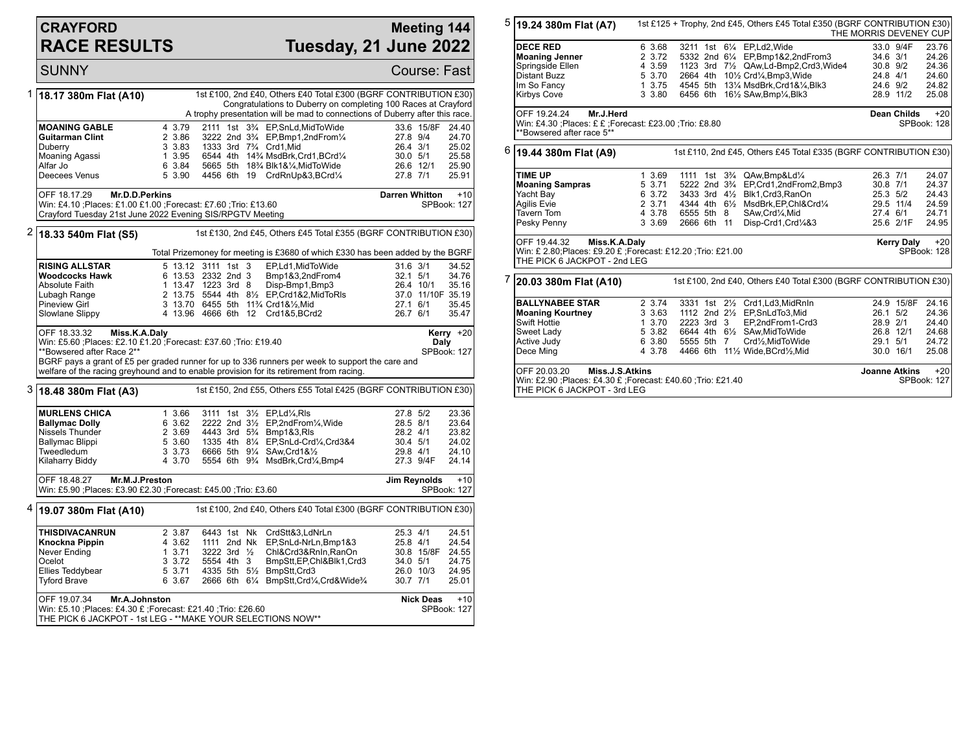## **CRAYFORD RACE RESULTS**

## **Meeting 144 Tuesday, 21 June 2022**

|   | <b>SUNNY</b>                                                                                                                                                |                                                                                                                                                                                                                                         |                                                    |                                                                                       | Course: Fast                            |  |  |  |  |  |
|---|-------------------------------------------------------------------------------------------------------------------------------------------------------------|-----------------------------------------------------------------------------------------------------------------------------------------------------------------------------------------------------------------------------------------|----------------------------------------------------|---------------------------------------------------------------------------------------|-----------------------------------------|--|--|--|--|--|
| 1 | 1st £100, 2nd £40, Others £40 Total £300 (BGRF CONTRIBUTION £30)<br>18.17 380m Flat (A10)<br>Congratulations to Duberry on completing 100 Races at Crayford |                                                                                                                                                                                                                                         |                                                    |                                                                                       |                                         |  |  |  |  |  |
|   |                                                                                                                                                             | A trophy presentation will be mad to connections of Duberry after this race.                                                                                                                                                            |                                                    |                                                                                       |                                         |  |  |  |  |  |
|   | <b>MOANING GABLE</b>                                                                                                                                        | 4 3.79                                                                                                                                                                                                                                  |                                                    | 2111 1st 3 <sup>3</sup> / <sub>4</sub> EP, SnLd, MidTo Wide                           | 33.6 15/8F<br>24.40                     |  |  |  |  |  |
|   | Guitarman Clint                                                                                                                                             | 2 3.86                                                                                                                                                                                                                                  |                                                    | 3222 2nd 3 <sup>3</sup> / <sub>4</sub> EP, Bmp1, 2nd From <sup>1</sup> / <sub>4</sub> | 27.8 9/4<br>24.70                       |  |  |  |  |  |
|   | Duberry                                                                                                                                                     | 3 3.83                                                                                                                                                                                                                                  | 1333 3rd 7 <sup>3</sup> / <sub>4</sub> Crd1, Mid   |                                                                                       | 26.4 3/1<br>25.02                       |  |  |  |  |  |
|   | Moaning Agassi                                                                                                                                              | 1 3.95                                                                                                                                                                                                                                  |                                                    | 6544 4th 143/4 MsdBrk, Crd1, BCrd1/4                                                  | 30.0 5/1<br>25.58                       |  |  |  |  |  |
|   | Alfar Jo<br>Deecees Venus                                                                                                                                   | 6 3.84<br>5 3.90                                                                                                                                                                                                                        |                                                    | 5665 5th 18% Blk1&%, MidToWide<br>4456 6th 19 CrdRnUp&3, BCrd1/4                      | 26.6 12/1<br>25.90<br>27.8 7/1<br>25.91 |  |  |  |  |  |
|   | OFF 18.17.29<br><b>Darren Whitton</b><br>$+10$<br><b>Mr.D.D.Perkins</b>                                                                                     |                                                                                                                                                                                                                                         |                                                    |                                                                                       |                                         |  |  |  |  |  |
|   |                                                                                                                                                             | Win: £4.10 ; Places: £1.00 £1.00 ; Forecast: £7.60 ; Trio: £13.60<br>SPBook: 127<br>Crayford Tuesday 21st June 2022 Evening SIS/RPGTV Meeting                                                                                           |                                                    |                                                                                       |                                         |  |  |  |  |  |
|   | <sup>2</sup> 18.33 540m Flat (S5)<br>1st £130, 2nd £45, Others £45 Total £355 (BGRF CONTRIBUTION £30)                                                       |                                                                                                                                                                                                                                         |                                                    |                                                                                       |                                         |  |  |  |  |  |
|   |                                                                                                                                                             | Total Prizemoney for meeting is £3680 of which £330 has been added by the BGRF                                                                                                                                                          |                                                    |                                                                                       |                                         |  |  |  |  |  |
|   | <b>RISING ALLSTAR</b>                                                                                                                                       |                                                                                                                                                                                                                                         | 5 13.12 3111 1st 3                                 | EP,Ld1,MidToWide                                                                      | $31.6$ $3/1$<br>34.52                   |  |  |  |  |  |
|   | <b>Woodcocks Hawk</b>                                                                                                                                       |                                                                                                                                                                                                                                         | 6 13.53 2332 2nd 3                                 | Bmp1&3,2ndFrom4                                                                       | $32.1$ $5/1$<br>34.76                   |  |  |  |  |  |
|   | Absolute Faith                                                                                                                                              |                                                                                                                                                                                                                                         | 1 13.47 1223 3rd 8                                 | Disp-Bmp1, Bmp3                                                                       | 26.4 10/1<br>35.16                      |  |  |  |  |  |
|   | Lubagh Range<br><b>Pineview Girl</b>                                                                                                                        |                                                                                                                                                                                                                                         | 3 13.70 6455 5th 113/4 Crd1&1/2.Mid                | 2 13.75 5544 4th 81/2 EP.Crd1&2.MidToRIs                                              | 37.0 11/10F 35.19<br>27.1 6/1<br>35.45  |  |  |  |  |  |
|   | Slowlane Slippy                                                                                                                                             |                                                                                                                                                                                                                                         | 4 13.96 4666 6th 12 Crd1&5.BCrd2                   |                                                                                       | 26.7 6/1<br>35.47                       |  |  |  |  |  |
|   | OFF 18.33.32<br>Miss.K.A.Daly<br>Kerry $+20$<br>Win: £5.60 ;Places: £2.10 £1.20 ;Forecast: £37.60 ;Trio: £19.40<br>Daly                                     |                                                                                                                                                                                                                                         |                                                    |                                                                                       |                                         |  |  |  |  |  |
|   |                                                                                                                                                             | **Bowsered after Race 2**<br>SPBook: 127<br>BGRF pays a grant of £5 per graded runner for up to 336 runners per week to support the care and<br>welfare of the racing greyhound and to enable provision for its retirement from racing. |                                                    |                                                                                       |                                         |  |  |  |  |  |
| 3 | 18.48 380m Flat (A3)                                                                                                                                        | 1st £150, 2nd £55, Others £55 Total £425 (BGRF CONTRIBUTION £30)                                                                                                                                                                        |                                                    |                                                                                       |                                         |  |  |  |  |  |
|   | <b>MURLENS CHICA</b>                                                                                                                                        | 1 3.66                                                                                                                                                                                                                                  | 3111 1st 31/2 EP.Ld1/4.RIs                         |                                                                                       | 27.8 5/2<br>23.36                       |  |  |  |  |  |
|   | <b>Ballymac Dolly</b>                                                                                                                                       | 6 3.62                                                                                                                                                                                                                                  |                                                    | 2222 2nd 31/2 EP,2ndFrom1/4, Wide                                                     | 28.5 8/1<br>23.64                       |  |  |  |  |  |
|   | Nissels Thunder                                                                                                                                             | 2 3.69                                                                                                                                                                                                                                  | 4443 3rd 5 <sup>3</sup> / <sub>4</sub> Bmp1&3, RIs |                                                                                       | 23.82<br>28.2 4/1                       |  |  |  |  |  |
|   | Ballymac Blippi                                                                                                                                             | 5 3.60                                                                                                                                                                                                                                  |                                                    | 1335 4th 81/4 EP, SnLd-Crd1/4, Crd3&4                                                 | 24.02<br>30.4 5/1                       |  |  |  |  |  |
|   | Tweedledum                                                                                                                                                  | 3 3.73                                                                                                                                                                                                                                  | 6666 5th 91/4 SAw.Crd1&1/2                         |                                                                                       | 29.8 4/1<br>24.10                       |  |  |  |  |  |
|   | Kilaharry Biddy                                                                                                                                             | 4 3.70                                                                                                                                                                                                                                  |                                                    | 5554 6th 93/4 MsdBrk, Crd1/4, Bmp4                                                    | 27.3 9/4F<br>24.14                      |  |  |  |  |  |
|   | OFF 18.48.27<br>Mr.M.J.Preston<br>Win: £5.90 ;Places: £3.90 £2.30 ;Forecast: £45.00 ;Trio: £3.60                                                            | $+10$<br>Jim Reynolds<br>SPBook: 127                                                                                                                                                                                                    |                                                    |                                                                                       |                                         |  |  |  |  |  |
| 4 | 19.07 380m Flat (A10)                                                                                                                                       | 1st £100, 2nd £40, Others £40 Total £300 (BGRF CONTRIBUTION £30)                                                                                                                                                                        |                                                    |                                                                                       |                                         |  |  |  |  |  |
|   | THISDIVACANRUN                                                                                                                                              | 2 3.87                                                                                                                                                                                                                                  |                                                    | 6443 1st Nk CrdStt&3,LdNrLn                                                           | 25.3 4/1<br>24.51                       |  |  |  |  |  |
|   | Knockna Pippin                                                                                                                                              | 4 3.62                                                                                                                                                                                                                                  | 1111 2nd Nk                                        | EP,SnLd-NrLn,Bmp1&3                                                                   | 24.54<br>25.8 4/1                       |  |  |  |  |  |
|   | Never Ending                                                                                                                                                | 13.71                                                                                                                                                                                                                                   | 3222 3rd $\frac{1}{2}$                             | Chl&Crd3&RnIn,RanOn                                                                   | 30.8 15/8F<br>24.55                     |  |  |  |  |  |
|   | Ocelot                                                                                                                                                      | 3 3.72                                                                                                                                                                                                                                  | 5554 4th 3                                         | BmpStt, EP, Chl&Blk1, Crd3                                                            | 34.0 5/1<br>24.75                       |  |  |  |  |  |
|   | Ellies Teddybear<br><b>Tyford Brave</b>                                                                                                                     | 5 3.71<br>6 3.67                                                                                                                                                                                                                        | 4335 5th 51/2 BmpStt, Crd3                         | 2666 6th 61/4 BmpStt, Crd1/4, Crd& Wide3/4                                            | 26.0 10/3<br>24.95<br>30.7 7/1<br>25.01 |  |  |  |  |  |
|   | OFF 19.07.34<br>Mr.A.Johnston                                                                                                                               |                                                                                                                                                                                                                                         |                                                    |                                                                                       | <b>Nick Deas</b><br>$+10$               |  |  |  |  |  |
|   | Win: £5.10 ;Places: £4.30 £ ;Forecast: £21.40 ;Trio: £26.60<br>SPBook: 127<br>THE PICK 6 JACKPOT - 1st LEG - ** MAKE YOUR SELECTIONS NOW**                  |                                                                                                                                                                                                                                         |                                                    |                                                                                       |                                         |  |  |  |  |  |

|   | $5 $ 19.24 380m Flat (A7)                                                                                                       |                                                           |                                            |                      |  | 1st £125 + Trophy, 2nd £45, Others £45 Total £350 (BGRF CONTRIBUTION £30)                                                                                                                                                                                                             | THE MORRIS DEVENEY CUP                       |                                      |                                                    |  |  |
|---|---------------------------------------------------------------------------------------------------------------------------------|-----------------------------------------------------------|--------------------------------------------|----------------------|--|---------------------------------------------------------------------------------------------------------------------------------------------------------------------------------------------------------------------------------------------------------------------------------------|----------------------------------------------|--------------------------------------|----------------------------------------------------|--|--|
|   | <b>DECE RED</b><br><b>Moaning Jenner</b><br>Springside Ellen<br><b>Distant Buzz</b><br>Im So Fancy<br><b>Kirbys Cove</b>        | 6 3.68<br>2 3.72<br>4 3.59<br>5 3.70<br>1, 3.75<br>3 3.80 |                                            |                      |  | 3211 1st 61/4 EP.Ld2. Wide<br>5332 2nd 61/4 EP, Bmp1&2, 2nd From 3<br>1123 3rd 71/2 QAw, Ld-Bmp2, Crd3, Wide4<br>2664 4th 101/2 Crd1/4, Bmp3, Wide<br>4545 5th 131/4 MsdBrk, Crd1&1/4, Blk3<br>6456 6th 161/2 SAw, Bmp1/4, Blk3                                                       | 34.6 3/1<br>30.8 9/2<br>24.8 4/1<br>24.6 9/2 | 33.0 9/4F<br>28.9 11/2               | 23.76<br>24.26<br>24.36<br>24.60<br>24.82<br>25.08 |  |  |
|   | OFF 19.24.24<br>Mr.J.Herd<br>Win: £4.30 ; Places: £ £ ; Forecast: £23.00 ; Trio: £8.80<br>**Bowsered after race 5**             |                                                           |                                            |                      |  |                                                                                                                                                                                                                                                                                       |                                              |                                      | Dean Childs<br>$+20$<br>SPBook: 128                |  |  |
|   | $6$ 19.44 380m Flat (A9)                                                                                                        |                                                           |                                            |                      |  | 1st £110, 2nd £45, Others £45 Total £335 (BGRF CONTRIBUTION £30)                                                                                                                                                                                                                      |                                              |                                      |                                                    |  |  |
|   | <b>TIME UP</b><br><b>Moaning Sampras</b><br>Yacht Bay<br>Agilis Evie<br>Tavern Tom<br>Pesky Penny                               | 1 3.69<br>5 3.71<br>6 3.72<br>2 3.71<br>4 3.78<br>3 3.69  | 3433 3rd 41/2<br>6555 5th 8<br>2666 6th 11 |                      |  | 1111 1st 3 <sup>3</sup> / <sub>4</sub> QAw, Bmp&Ld <sup>1</sup> / <sub>4</sub><br>5222 2nd 3 <sup>3</sup> / <sub>4</sub> EP, Crd1, 2nd From 2, Bmp 3<br>Blk1, Crd3, RanOn<br>4344 4th 61/2 MsdBrk, EP, Chl&Crd1/4<br>SAw, Crd <sup>1</sup> / <sub>4</sub> , Mid<br>Disp-Crd1,Crd1/4&3 | 26.3 7/1<br>30.8 7/1<br>25.3 5/2             | 29.5 11/4<br>27.4 6/1<br>25.6 2/1F   | 24.07<br>24.37<br>24.43<br>24.59<br>24.71<br>24.95 |  |  |
|   | OFF 19.44.32<br>Miss.K.A.Daly<br>Win: £ 2.80; Places: £9.20 £ ; Forecast: £12.20 ; Trio: £21.00<br>THE PICK 6 JACKPOT - 2nd LEG |                                                           |                                            |                      |  |                                                                                                                                                                                                                                                                                       |                                              | <b>Kerry Daly</b>                    | $+20$<br>SPBook: 128                               |  |  |
| 7 | 1st £100, 2nd £40, Others £40 Total £300 (BGRF CONTRIBUTION £30)<br>20.03 380m Flat (A10)                                       |                                                           |                                            |                      |  |                                                                                                                                                                                                                                                                                       |                                              |                                      |                                                    |  |  |
|   | <b>BALLYNABEE STAR</b><br><b>Moaning Kourtney</b><br>Swift Hottie<br>Sweet Lady<br>Active Judy<br>Dece Ming                     | 2 3.74<br>3 3.63<br>1 3.70<br>5 3.82<br>6 3.80<br>4 3.78  | 2223 3rd 3<br>5555 5th 7                   |                      |  | 3331 1st 21/2 Crd1, Ld3, MidRnIn<br>1112 2nd 21/2 EP, SnLdTo 3, Mid<br>EP,2ndFrom1-Crd3<br>6644 4th 61/2 SAw.MidToWide<br>Crd1/ <sub>2</sub> .MidToWide<br>4466 6th 111/2 Wide, BCrd1/2, Mid                                                                                          | 26.1 5/2<br>28.9 2/1<br>29.1 5/1             | 24.9 15/8F<br>26.8 12/1<br>30.0 16/1 | 24.16<br>24.36<br>24.40<br>24.68<br>24.72<br>25.08 |  |  |
|   | OFF 20.03.20<br>Miss.J.S.Atkins<br>Win: £2.90 ; Places: £4.30 £ ; Forecast: £40.60 ; Trio: £21.40                               | <b>Joanne Atkins</b>                                      |                                            | $+20$<br>SPBook: 127 |  |                                                                                                                                                                                                                                                                                       |                                              |                                      |                                                    |  |  |

Win: £2.90 ;Places: £4.30 £ ;Forecast: £40.60 ;Trio: £21.40 THE PICK 6 JACKPOT - 3rd LEG